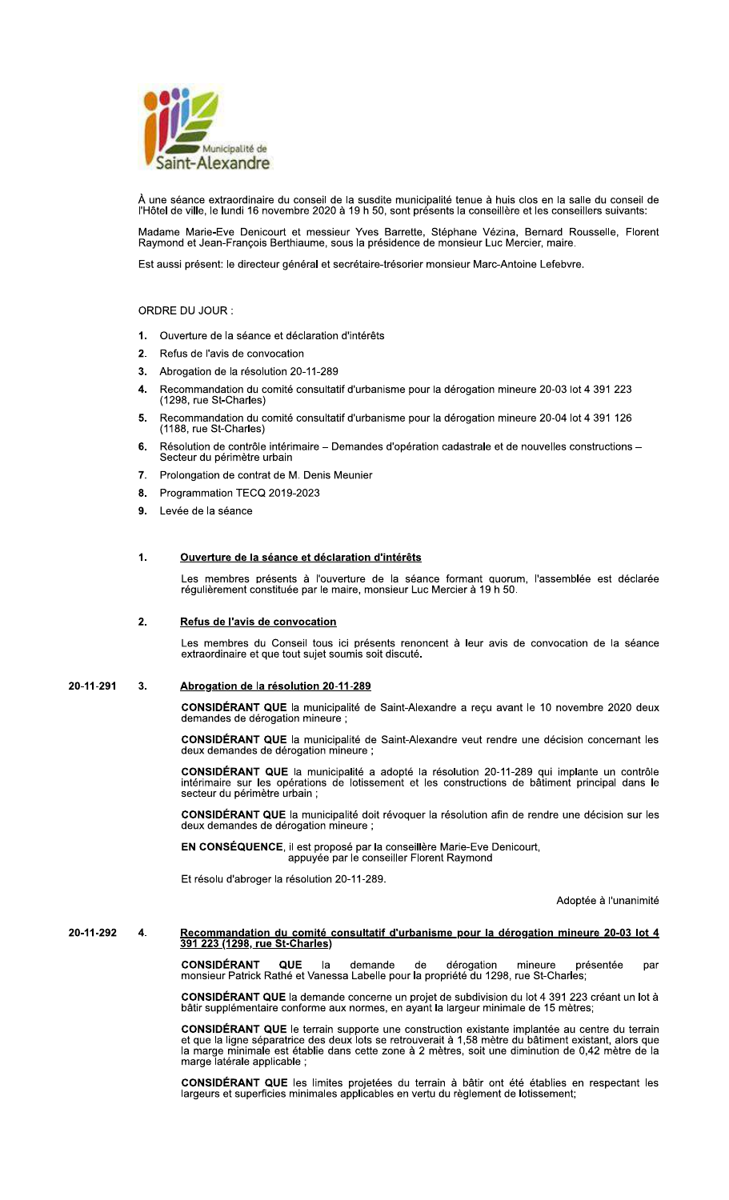

À une séance extraordinaire du conseil de la susdite municipalité tenue à huis clos en la salle du conseil de<br>l'Hôtel de ville, le lundi 16 novembre 2020 à 19 h 50, sont présents la conseillère et les conseillers suivants:

Madame Marie-Eve Denicourt et messieur Yves Barrette, Stéphane Vézina, Bernard Rousselle, Florent<br>Raymond et Jean-François Berthiaume, sous la présidence de monsieur Luc Mercier, maire.

Est aussi présent: le directeur général et secrétaire-trésorier monsieur Marc-Antoine Lefebvre.

## ORDRE DU JOUR:

- Ouverture de la séance et déclaration d'intérêts  $1.$
- 2. Refus de l'avis de convocation
- 3. Abrogation de la résolution 20-11-289
- Recommandation du comité consultatif d'urbanisme pour la dérogation mineure 20-03 lot 4 391 223 4. (1298. rue St-Charles)
- Recommandation du comité consultatif d'urbanisme pour la dérogation mineure 20-04 lot 4 391 126 5. (1188, rue St-Charles)
- 6. Résolution de contrôle intérimaire - Demandes d'opération cadastrale et de nouvelles constructions -Secteur du périmètre urbain
- 7. Prolongation de contrat de M. Denis Meunier
- Programmation TECQ 2019-2023 8.
- Levée de la séance  $9<sub>1</sub>$

#### $\mathbf 1$ . Ouverture de la séance et déclaration d'intérêts

Les membres présents à l'ouverture de la séance formant quorum, l'assemblée est déclarée régulièrement constituée par le maire, monsieur Luc Mercier à 19 h 50.

#### $2.$ Refus de l'avis de convocation

Les membres du Conseil tous ici présents renoncent à leur avis de convocation de la séance extraordinaire et que tout sujet soumis soit discuté.

#### 20-11-291 Abrogation de la résolution 20-11-289  $3<sub>1</sub>$

CONSIDÉRANT QUE la municipalité de Saint-Alexandre a reçu avant le 10 novembre 2020 deux demandes de dérogation mineure ;

CONSIDÉRANT QUE la municipalité de Saint-Alexandre veut rendre une décision concernant les deux demandes de dérogation mineure ;

CONSIDÉRANT QUE la municipalité a adopté la résolution 20-11-289 qui implante un contrôle intérimaire sur les opérations de lotissement et les constructions de bâtiment principal dans le secteur du périmètre urbain ;

CONSIDÉRANT QUE la municipalité doit révoquer la résolution afin de rendre une décision sur les deux demandes de dérogation mineure ;

EN CONSÉQUENCE, il est proposé par la conseillère Marie-Eve Denicourt, appuyée par le conseiller Florent Raymond

Et résolu d'abroger la résolution 20-11-289.

Adoptée à l'unanimité

### Recommandation du comité consultatif d'urbanisme pour la dérogation mineure 20-03 lot 4<br>391 223 (1298, rue St-Charles) 20-11-292  $\overline{\mathbf{4}}$ .

CONSIDÉRANT QUE la demande de dérogation mineure pre<br>monsieur Patrick Rathé et Vanessa Labelle pour la propriété du 1298, rue St-Charles; présentée par

CONSIDÉRANT QUE la demande concerne un projet de subdivision du lot 4 391 223 créant un lot à bâtir supplémentaire conforme aux normes, en ayant la largeur minimale de 15 mètres;

**CONSIDÉRANT QUE** le terrain supporte une construction existante implantée au centre du terrain<br>et que la ligne séparatrice des deux lots se retrouverait à 1,58 mètre du bâtiment existant, alors que<br>la marge minimale est é marge latérale applicable;

CONSIDÉRANT QUE les limites projetées du terrain à bâtir ont été établies en respectant les largeurs et superficies minimales applicables en vertu du règlement de lotissement;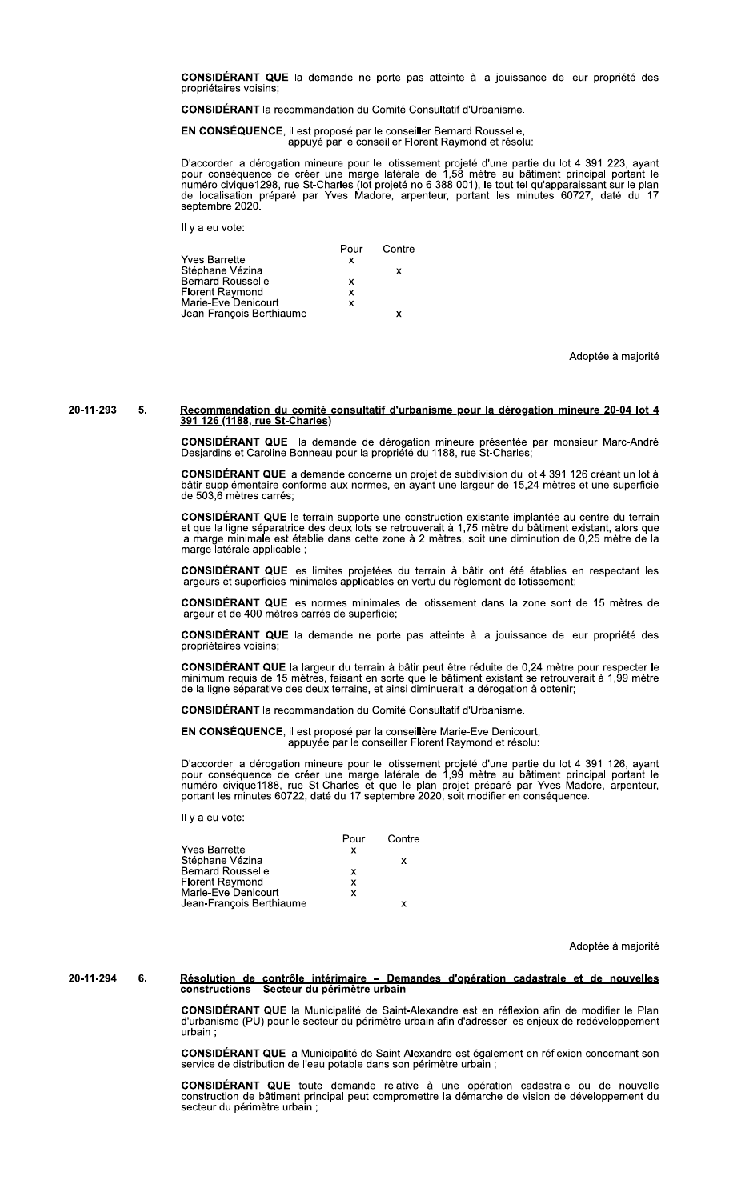CONSIDÉRANT QUE la demande ne porte pas atteinte à la jouissance de leur propriété des propriétaires voisins;

**CONSIDÉRANT** la recommandation du Comité Consultatif d'Urbanisme.

EN CONSÉQUENCE, il est proposé par le conseiller Bernard Rousselle, appuyé par le conseiller Florent Raymond et résolu:

D'accorder la dérogation mineure pour le lotissement projeté d'une partie du lot 4 391 223, ayant pour conséquence de créer une marge latérale de 1,58 mètre au bâtiment principal portant le numéro civique1298, rue St-Charl septembre 2020.

Il y a eu vote:

|                          |   | Pour Contre |
|--------------------------|---|-------------|
| Yves Barrette            | x |             |
| Stéphane Vézina          |   | х           |
| Bernard Rousselle        | x |             |
| Florent Raymond          | x |             |
| Marie-Eve Denicourt      | x |             |
| Jean-François Berthiaume |   |             |

Adoptée à majorité

## 20-11-293

# Recommandation du comité consultatif d'urbanisme pour la dérogation mineure 20-04 lot 4<br>391 126 (1188, rue St-Charles) 5.

CONSIDÉRANT QUE la demande de dérogation mineure présentée par monsieur Marc-André<br>Desjardins et Caroline Bonneau pour la propriété du 1188, rue St-Charles;

CONSIDÉRANT QUE la demande concerne un projet de subdivision du lot 4 391 126 créant un lot à bâtir supplémentaire conforme aux normes, en ayant une largeur de 15,24 mètres et une superficie de 503,6 mètres carrés;

CONSIDÉRANT QUE le terrain supporte une construction existante implantée au centre du terrain et que la ligne séparatrice des deux lots se retrouverait à 1,75 mètre du bâtiment existant, alors que<br>la marge minimale est établie dans cette zone à 2 mètres, soit une diminution de 0,25 mètre de la marge latérale applicable ;

CONSIDÉRANT QUE les limites projetées du terrain à bâtir ont été établies en respectant les largeurs et superficies minimales applicables en vertu du règlement de lotissement;

**CONSIDÉRANT QUE** les normes minimales de lotissement dans la zone sont de 15 mètres de largeur et de 400 mètres carrés de superficie;

CONSIDÉRANT QUE la demande ne porte pas atteinte à la jouissance de leur propriété des propriétaires voisins;

CONSIDÉRANT QUE la largeur du terrain à bâtir peut être réduite de 0,24 mètre pour respecter le minimum requis de 15 mètres, faisant en sorte que le bâtiment existant se retrouverait à 1,99 mètre de la ligne séparative des deux terrains, et ainsi diminuerait la dérogation à obtenir;

**CONSIDÉRANT** la recommandation du Comité Consultatif d'Urbanisme

EN CONSÉQUENCE, il est proposé par la conseillère Marie-Eve Denicourt, appuyée par le conseiller Florent Raymond et résolu:

D'accorder la dérogation mineure pour le lotissement projeté d'une partie du lot 4 391 126, ayant pour conséquence de créer une marge latérale de 1,99 mètre au bâtiment principal portant le numéro civique1188, rue St-Charl

Il y a eu vote:

|                          | Pour | Contre |
|--------------------------|------|--------|
| Yves Barrette            | x    |        |
| Stéphane Vézina          |      | x      |
| <b>Bernard Rousselle</b> | x    |        |
| <b>Florent Raymond</b>   | x    |        |
| Marie-Eve Denicourt      | x    |        |
| Jean-François Berthiaume |      | x      |
|                          |      |        |

Adoptée à majorité

### Résolution de contrôle intérimaire - Demandes d'opération cadastrale et de nouvelles<br>constructions - Secteur du périmètre urbain 20-11-294 6.

CONSIDÉRANT QUE la Municipalité de Saint-Alexandre est en réflexion afin de modifier le Plan d'urbanisme (PU) pour le secteur du périmètre urbain afin d'adresser les enjeux de redéveloppement urbain:

**CONSIDÉRANT QUE** la Municipalité de Saint-Alexandre est également en réflexion concernant son service de distribution de l'eau potable dans son périmètre urbain ;

CONSIDÉRANT QUE toute demande relative à une opération cadastrale ou de nouvelle construction de bâtiment principal peut compromettre la démarche de vision de développement du secteur du périmètre urbain ;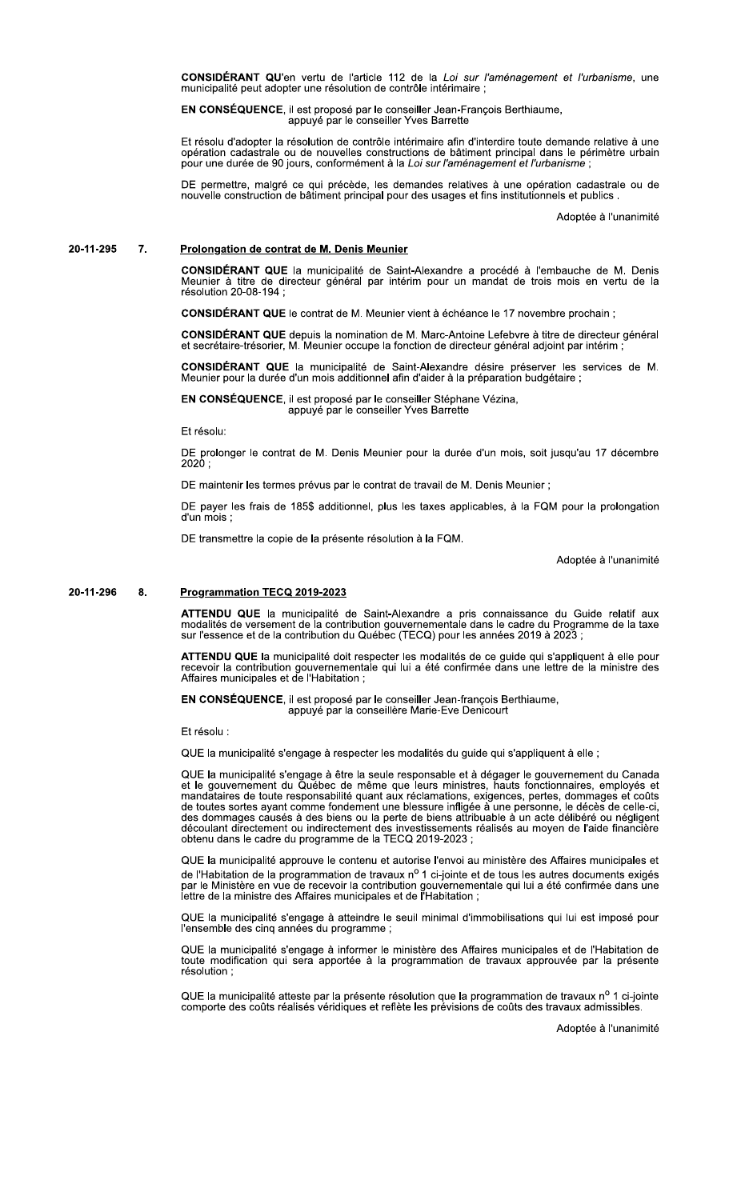CONSIDERANI C

**CONSEQUENCE**, il est propose par le conseiller Jean-François Berthlaume, appuyé par le conseiller Yves Barrette

**CONSIDÉRANT QU'**en vertu de l'article 112 de la *Loi sur l'aménagement et l'urbanisme*, une<br>municipalité peut adopter une résolution de contrôle intérimaire ;<br>**EN CONSÉQUENCE**, il est proposé par le conseiller Jean-Franço Et resolu d'adopter la resolution de controle interimaire affh d'interdire toute demandé relative à une **CONSIDÉRANT QU'en** vertu de l'article 112 de la *Loi sur l'aménagement et l'urbanisme*, une<br>municipalité peut adopter une résolution de contrôle intérimaire ;<br>**EN CONSÉQUENCE**, il est proposé par le conseiller Vees Barret

# [\]^^][\_` abcdcefghice jk lcehbgh jk mM kein mkoeikb

CONSIDERANT QUE la municipalite de Saint-Alexandre a procede a l'embauche de M. Denis<br>Meunier à titre de directeur général par intérim pour un mandat de trois mois en vertu de la resolution 20-08-194 ;

**CONSIDERANT QUE le contrat de M. Meunier vient a echeance le 17 novembre prochain** ;

CONSIDERANT QUE depuis la nomination de M. Marc-Antoine Lefebvre a titre de directeur general<br>et secrétaire-trésorier, M. Meunier occupe la fonction de directeur général adjoint par intérim ;

CONSIDERANT QUE la municipalité de Saint-Alexandre desire preserver les services de M.  $m$ eunier pour la duree d'un mois additionnel afin d'alder a la preparation budgetaire ;

EN CONSEQUENCE, il est propose par le conseiller Stephane Vezina,<br>appuyé par le conseiller Yves Barrette

Et résolu:

DE prolonger le contrat de M. Denis Meunier pour la durée d'un mois, soit jusqu'au 17 décembre  $2020:$ 

DE maintenir les termes prévus par le contrat de travail de M. Denis Meunier :

DE payer les frais de 185\$ additionnel, plus les taxes applicables, à la FQM pour la prolongation d'un mois :

DE transmettre la copie de la présente résolution à la FQM.

Adoptée à l'unanimité

### $8<sub>1</sub>$ 20-11-296 8. <u>Programmation IECQ 2019-2023</u>

ATTENDU QUE la municipalite de Saint-Alexandre a pris connaissance du Guide relatif aux<br>modalités de versement de la contribution gouvernementale dans le cadre du Programme de la taxe  $\overline{\text{s}}$ ur l'essence et de la contribution du Quebec (TECQ) pour les années 2019 à 2023 ;

AI IENDU Q ATTENDU QUE la municipalite doit respecter les modalites de ce guide qui s'appliquent à elle pour<br>recevoir la contribution gouvernementale qui lui a été confirmée dans une lettre de la ministre des Affaires municipales et de l'Habitation ;

EN CONSEQUENCE, il est propose par le consellier Jean-françois Berthiaume,<br>appuyé par la conseillère Marie-Eve Denicourt

Et résolu :

QUE la municipalité s'engage à respecter les modalités du quide qui s'appliquent à elle ;

QUE la municipalite s'engage a etre la seule responsable et a degager le gouvernement du Canada et le gouvernement du Quebec de meme que leurs ministres, nauts fonctionnaires, employes et<br>mandataires de toute responsabilité quant aux réclamations, exigences, pertes, dommages et coûts de toutes sortes ayant comme fondement une biessure infligee à une personne, le deces de celle-ci,<br>des dommages causés à des biens ou la perte de biens attribuable à un acte délibéré ou négligent decoulant directement ou indirectement des investissements realises au moyen de l'aide financiere<br>obtenu dans le cadre du programme de la TECQ 2019-2023 ;

QUE la municipalite approuve le contenu et autorise l'envoi au ministere des Affaires municipales et de l'Habitation de la programmation de travaux n<sup>o</sup> 1 ci-jointe et de tous les autres documents exigés par le Ministere en vue de recevoir la contribution gouvernementale qui lui a ete confirmee dans une<br>lettre de la ministre des Affaires municipales et de l'Habitation ;

QUE la municipalite s'engage a atteindre le seuli minimal d'immobilisations qui lui est impose pour rensemble des cinq annees du programme ;

QUE la municipalité s'engage à informer le ministère des Affaires municipales et de l'Habitation de toute modification qui sera apportée à la programmation de travaux approuvée par la présente résolution;

QUE la municipalité atteste par la présente résolution que la programmation de travaux n<sup>o</sup> 1 ci-jointe comporte des coûts réalisés véridiques et reflète les prévisions de coûts des travaux admissibles.

Adoptée à l'unanimité